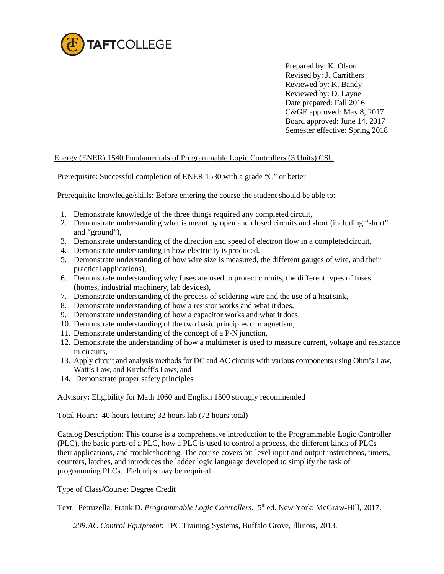

Prepared by: K. Olson Revised by: J. Carrithers Reviewed by: K. Bandy Reviewed by: D. Layne Date prepared: Fall 2016 C&GE approved: May 8, 2017 Board approved: June 14, 2017 Semester effective: Spring 2018

## Energy (ENER) 1540 Fundamentals of Programmable Logic Controllers (3 Units) CSU

Prerequisite: Successful completion of ENER 1530 with a grade "C" or better

Prerequisite knowledge/skills: Before entering the course the student should be able to:

- 1. Demonstrate knowledge of the three things required any completed circuit,
- 2. Demonstrate understanding what is meant by open and closed circuits and short (including "short" and "ground"),
- 3. Demonstrate understanding of the direction and speed of electron flow in a completed circuit,
- 4. Demonstrate understanding in how electricity is produced,
- 5. Demonstrate understanding of how wire size is measured, the different gauges of wire, and their practical applications),
- 6. Demonstrate understanding why fuses are used to protect circuits, the different types of fuses (homes, industrial machinery, lab devices),
- 7. Demonstrate understanding of the process of soldering wire and the use of a heatsink,
- 8. Demonstrate understanding of how a resistor works and what it does,
- 9. Demonstrate understanding of how a capacitor works and what it does,
- 10. Demonstrate understanding of the two basic principles of magnetism,
- 11. Demonstrate understanding of the concept of a P-N junction,
- 12. Demonstrate the understanding of how a multimeter is used to measure current, voltage and resistance in circuits,
- 13. Apply circuit and analysis methods for DC and AC circuits with various components using Ohm's Law, Watt's Law, and Kirchoff's Laws, and
- 14. Demonstrate proper safety principles

Advisory**:** Eligibility for Math 1060 and English 1500 strongly recommended

Total Hours: 40 hours lecture; 32 hours lab (72 hours total)

Catalog Description: This course is a comprehensive introduction to the Programmable Logic Controller (PLC), the basic parts of a PLC, how a PLC is used to control a process, the different kinds of PLCs their applications, and troubleshooting. The course covers bit-level input and output instructions, timers, counters, latches, and introduces the ladder logic language developed to simplify the task of programming PLCs. Fieldtrips may be required.

Type of Class/Course: Degree Credit

Text: Petruzella, Frank D. *Programmable Logic Controllers.* 5th ed. New York: McGraw-Hill, 2017.

*209:AC Control Equipment*: TPC Training Systems, Buffalo Grove, Illinois, 2013.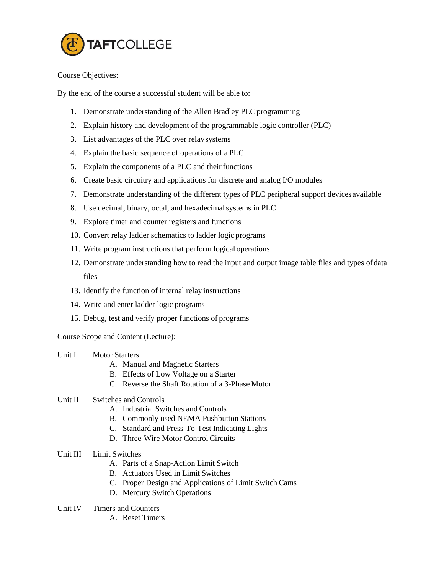

Course Objectives:

By the end of the course a successful student will be able to:

- 1. Demonstrate understanding of the Allen Bradley PLC programming
- 2. Explain history and development of the programmable logic controller (PLC)
- 3. List advantages of the PLC over relaysystems
- 4. Explain the basic sequence of operations of a PLC
- 5. Explain the components of a PLC and their functions
- 6. Create basic circuitry and applications for discrete and analog I/O modules
- 7. Demonstrate understanding of the different types of PLC peripheral support devices available
- 8. Use decimal, binary, octal, and hexadecimal systems in PLC
- 9. Explore timer and counter registers and functions
- 10. Convert relay ladder schematics to ladder logic programs
- 11. Write program instructions that perform logical operations
- 12. Demonstrate understanding how to read the input and output image table files and types ofdata files
- 13. Identify the function of internal relay instructions
- 14. Write and enter ladder logic programs
- 15. Debug, test and verify proper functions of programs

Course Scope and Content (Lecture):

- Unit I Motor Starters
	- A. Manual and Magnetic Starters
	- B. Effects of Low Voltage on a Starter
	- C. Reverse the Shaft Rotation of a 3-Phase Motor

## Unit II Switches and Controls

- A. Industrial Switches and Controls
- B. Commonly used NEMA Pushbutton Stations
- C. Standard and Press-To-Test Indicating Lights
- D. Three-Wire Motor Control Circuits
- Unit III Limit Switches
	- A. Parts of a Snap-Action Limit Switch
	- B. Actuators Used in Limit Switches
	- C. Proper Design and Applications of Limit Switch Cams
	- D. Mercury Switch Operations
- Unit IV Timers and Counters
	- A. Reset Timers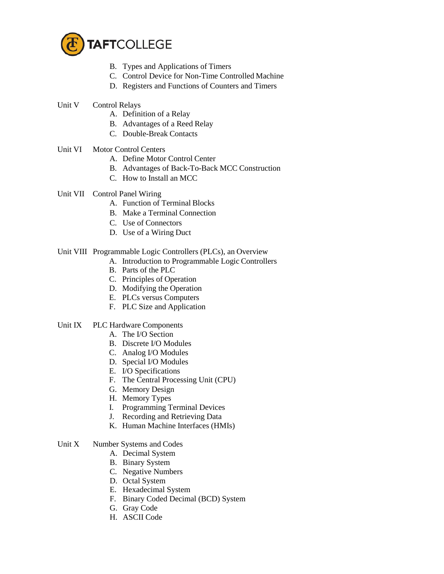

- B. Types and Applications of Timers
- C. Control Device for Non-Time Controlled Machine
- D. Registers and Functions of Counters and Timers
- Unit V Control Relays
	- A. Definition of a Relay
	- B. Advantages of a Reed Relay
	- C. Double-Break Contacts
- Unit VI Motor Control Centers
	- A. Define Motor Control Center
	- B. Advantages of Back-To-Back MCC Construction
	- C. How to Install an MCC
- Unit VII Control Panel Wiring
	- A. Function of Terminal Blocks
	- B. Make a Terminal Connection
	- C. Use of Connectors
	- D. Use of a Wiring Duct

# Unit VIII Programmable Logic Controllers (PLCs), an Overview

- A. Introduction to Programmable Logic Controllers
- B. Parts of the PLC
- C. Principles of Operation
- D. Modifying the Operation
- E. PLCs versus Computers
- F. PLC Size and Application

## Unit IX PLC Hardware Components

- A. The I/O Section
- B. Discrete I/O Modules
- C. Analog I/O Modules
- D. Special I/O Modules
- E. I/O Specifications
- F. The Central Processing Unit (CPU)
- G. Memory Design
- H. Memory Types
- I. Programming Terminal Devices
- J. Recording and Retrieving Data
- K. Human Machine Interfaces (HMIs)

## Unit X Number Systems and Codes

- A. Decimal System
- B. Binary System
- C. Negative Numbers
- D. Octal System
- E. Hexadecimal System
- F. Binary Coded Decimal (BCD) System
- G. Gray Code
- H. ASCII Code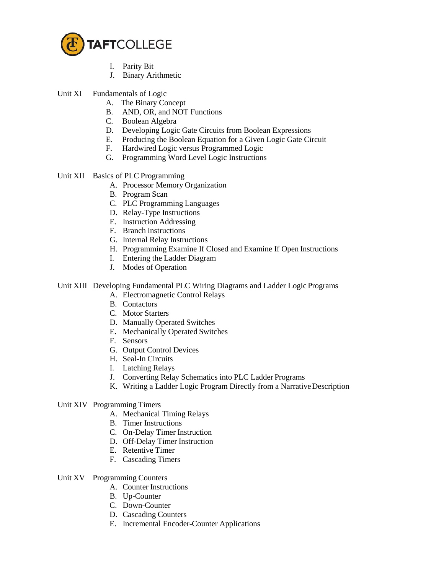

- I. Parity Bit
- J. Binary Arithmetic
- Unit XI Fundamentals of Logic
	- A. The Binary Concept
	- B. AND, OR, and NOT Functions
	- C. Boolean Algebra
	- D. Developing Logic Gate Circuits from Boolean Expressions
	- E. Producing the Boolean Equation for a Given Logic Gate Circuit
	- F. Hardwired Logic versus Programmed Logic
	- G. Programming Word Level Logic Instructions
- Unit XII Basics of PLC Programming
	- A. Processor Memory Organization
	- B. Program Scan
	- C. PLC Programming Languages
	- D. Relay-Type Instructions
	- E. Instruction Addressing
	- F. Branch Instructions
	- G. Internal Relay Instructions
	- H. Programming Examine If Closed and Examine If Open Instructions
	- I. Entering the Ladder Diagram
	- J. Modes of Operation

# Unit XIII Developing Fundamental PLC Wiring Diagrams and Ladder Logic Programs

- A. Electromagnetic Control Relays
- B. Contactors
- C. Motor Starters
- D. Manually Operated Switches
- E. Mechanically Operated Switches
- F. Sensors
- G. Output Control Devices
- H. Seal-In Circuits
- I. Latching Relays
- J. Converting Relay Schematics into PLC Ladder Programs
- K. Writing a Ladder Logic Program Directly from a Narrative Description
- Unit XIV Programming Timers
	- A. Mechanical Timing Relays
	- B. Timer Instructions
	- C. On-Delay Timer Instruction
	- D. Off-Delay Timer Instruction
	- E. Retentive Timer
	- F. Cascading Timers
- Unit XV Programming Counters
	- A. Counter Instructions
	- B. Up-Counter
	- C. Down-Counter
	- D. Cascading Counters
	- E. Incremental Encoder-Counter Applications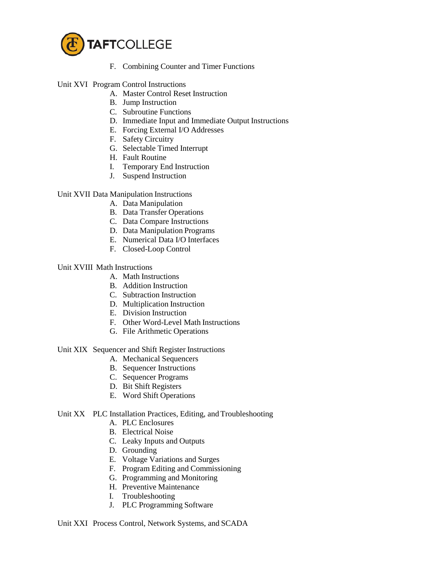

- F. Combining Counter and Timer Functions
- Unit XVI Program Control Instructions
	- A. Master Control Reset Instruction
	- B. Jump Instruction
	- C. Subroutine Functions
	- D. Immediate Input and Immediate Output Instructions
	- E. Forcing External I/O Addresses
	- F. Safety Circuitry
	- G. Selectable Timed Interrupt
	- H. Fault Routine
	- I. Temporary End Instruction
	- J. Suspend Instruction

Unit XVII Data Manipulation Instructions

- A. Data Manipulation
- B. Data Transfer Operations
- C. Data Compare Instructions
- D. Data Manipulation Programs
- E. Numerical Data I/O Interfaces
- F. Closed-Loop Control

## Unit XVIII Math Instructions

- A. Math Instructions
- B. Addition Instruction
- C. Subtraction Instruction
- D. Multiplication Instruction
- E. Division Instruction
- F. Other Word-Level Math Instructions
- G. File Arithmetic Operations

#### Unit XIX Sequencer and Shift Register Instructions

- A. Mechanical Sequencers
- B. Sequencer Instructions
- C. Sequencer Programs
- D. Bit Shift Registers
- E. Word Shift Operations

#### Unit XX PLC Installation Practices, Editing, and Troubleshooting

- A. PLC Enclosures
- B. Electrical Noise
- C. Leaky Inputs and Outputs
- D. Grounding
- E. Voltage Variations and Surges
- F. Program Editing and Commissioning
- G. Programming and Monitoring
- H. Preventive Maintenance
- I. Troubleshooting
- J. PLC Programming Software

#### Unit XXI Process Control, Network Systems, and SCADA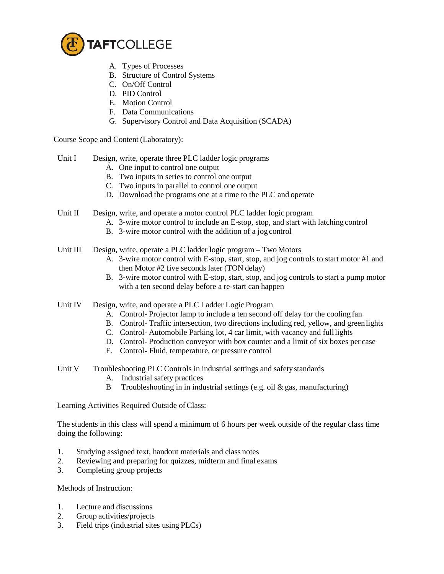

- A. Types of Processes
- B. Structure of Control Systems
- C. On/Off Control
- D. PID Control
- E. Motion Control
- F. Data Communications
- G. Supervisory Control and Data Acquisition (SCADA)

Course Scope and Content (Laboratory):

- Unit I Design, write, operate three PLC ladder logic programs
	- A. One input to control one output
	- B. Two inputs in series to control one output
	- C. Two inputs in parallel to control one output
	- D. Download the programs one at a time to the PLC and operate
- Unit II Design, write, and operate a motor control PLC ladder logic program
	- A. 3-wire motor control to include an E-stop, stop, and start with latching control
	- B. 3-wire motor control with the addition of a jog control
- Unit III Design, write, operate a PLC ladder logic program Two Motors
	- A. 3-wire motor control with E-stop, start, stop, and jog controls to start motor #1 and then Motor #2 five seconds later (TON delay)
	- B. 3-wire motor control with E-stop, start, stop, and jog controls to start a pump motor with a ten second delay before a re-start can happen
- Unit IV Design, write, and operate a PLC Ladder Logic Program
	- A. Control- Projector lamp to include a ten second off delay for the cooling fan
	- B. Control- Traffic intersection, two directions including red, yellow, and greenlights
	- C. Control- Automobile Parking lot, 4 car limit, with vacancy and fulllights
	- D. Control- Production conveyor with box counter and a limit of six boxes per case
	- E. Control**-** Fluid, temperature, or pressure control
- Unit V Troubleshooting PLC Controls in industrial settings and safety standards
	- A. Industrial safety practices
	- B Troubleshooting in in industrial settings (e.g. oil  $\&$  gas, manufacturing)

Learning Activities Required Outside of Class:

The students in this class will spend a minimum of 6 hours per week outside of the regular class time doing the following:

- 1. Studying assigned text, handout materials and class notes
- 2. Reviewing and preparing for quizzes, midterm and final exams
- 3. Completing group projects

Methods of Instruction:

- 1. Lecture and discussions
- 2. Group activities/projects
- 3. Field trips (industrial sites using PLCs)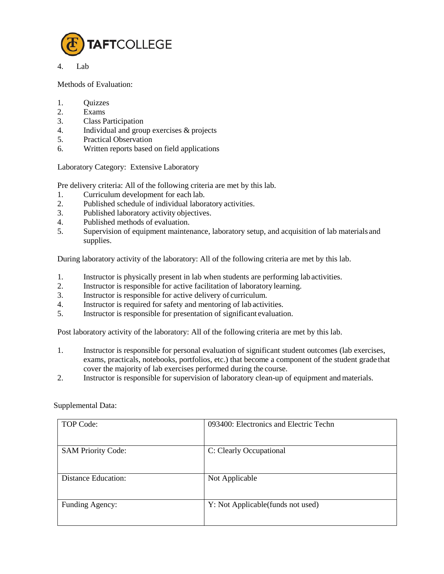

4. Lab

Methods of Evaluation:

- 1. Quizzes
- 2. Exams
- 3. Class Participation
- 4. Individual and group exercises & projects<br>5. Practical Observation
- 5. Practical Observation
- 6. Written reports based on field applications

Laboratory Category: Extensive Laboratory

Pre delivery criteria: All of the following criteria are met by this lab.

- 1. Curriculum development for each lab.
- 2. Published schedule of individual laboratory activities.
- 3. Published laboratory activity objectives.
- 4. Published methods of evaluation.<br>5. Supervision of equipment mainter
- 5. Supervision of equipment maintenance, laboratory setup, and acquisition of lab materials and supplies.

During laboratory activity of the laboratory: All of the following criteria are met by this lab.

- 1. Instructor is physically present in lab when students are performing lab activities.
- 2. Instructor is responsible for active facilitation of laboratory learning.
- 3. Instructor is responsible for active delivery of curriculum.
- 4. Instructor is required for safety and mentoring of lab activities.
- 5. Instructor is responsible for presentation of significant evaluation.

Post laboratory activity of the laboratory: All of the following criteria are met by this lab.

- 1. Instructor is responsible for personal evaluation of significant student outcomes (lab exercises, exams, practicals, notebooks, portfolios, etc.) that become a component of the student grade that cover the majority of lab exercises performed during the course.
- 2. Instructor is responsible for supervision of laboratory clean-up of equipment andmaterials.

| <b>TOP Code:</b>           | 093400: Electronics and Electric Techn |
|----------------------------|----------------------------------------|
| <b>SAM Priority Code:</b>  | C: Clearly Occupational                |
| <b>Distance Education:</b> | Not Applicable                         |
| Funding Agency:            | Y: Not Applicable (funds not used)     |

#### Supplemental Data: